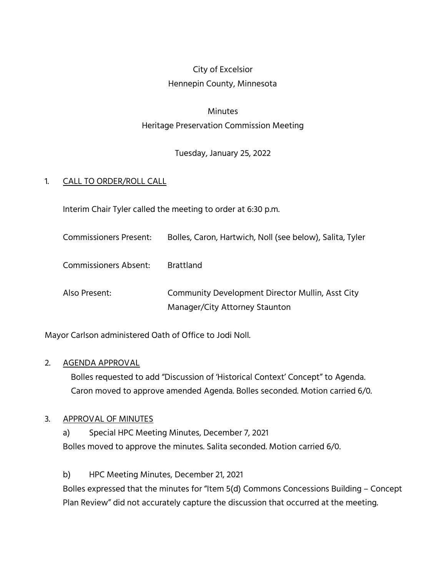## City of Excelsior Hennepin County, Minnesota

# Minutes Heritage Preservation Commission Meeting

Tuesday, January 25, 2022

### 1. CALL TO ORDER/ROLL CALL

Interim Chair Tyler called the meeting to order at 6:30 p.m.

| <b>Commissioners Present:</b> | Bolles, Caron, Hartwich, Noll (see below), Salita, Tyler |
|-------------------------------|----------------------------------------------------------|
|-------------------------------|----------------------------------------------------------|

Commissioners Absent: Brattland

Also Present: Community Development Director Mullin, Asst City Manager/City Attorney Staunton

Mayor Carlson administered Oath of Office to Jodi Noll.

#### 2. AGENDA APPROVAL

Bolles requested to add "Discussion of 'Historical Context' Concept" to Agenda. Caron moved to approve amended Agenda. Bolles seconded. Motion carried 6/0.

#### 3. APPROVAL OF MINUTES

a) Special HPC Meeting Minutes, December 7, 2021 Bolles moved to approve the minutes. Salita seconded. Motion carried 6/0.

b) HPC Meeting Minutes, December 21, 2021

Bolles expressed that the minutes for "Item 5(d) Commons Concessions Building – Concept Plan Review" did not accurately capture the discussion that occurred at the meeting.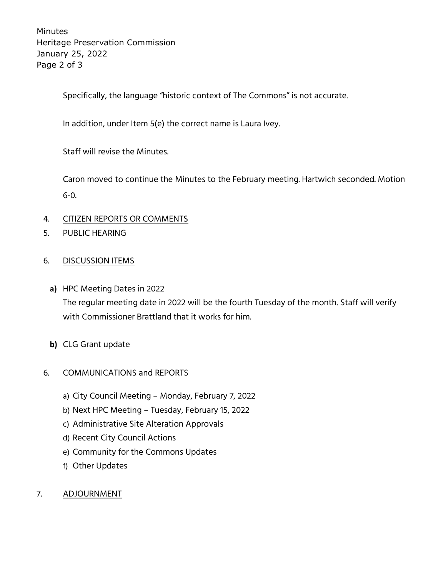Minutes Heritage Preservation Commission January 25, 2022 Page 2 of 3

Specifically, the language "historic context of The Commons" is not accurate.

In addition, under Item 5(e) the correct name is Laura Ivey.

Staff will revise the Minutes.

Caron moved to continue the Minutes to the February meeting. Hartwich seconded. Motion 6-0.

#### 4. CITIZEN REPORTS OR COMMENTS

5. PUBLIC HEARING

#### 6. DISCUSSION ITEMS

- **a)** HPC Meeting Dates in 2022 The regular meeting date in 2022 will be the fourth Tuesday of the month. Staff will verify with Commissioner Brattland that it works for him.
- **b)** CLG Grant update

#### 6. COMMUNICATIONS and REPORTS

- a) City Council Meeting Monday, February 7, 2022
- b) Next HPC Meeting Tuesday, February 15, 2022
- c) Administrative Site Alteration Approvals
- d) Recent City Council Actions
- e) Community for the Commons Updates
- f) Other Updates
- 7. ADJOURNMENT